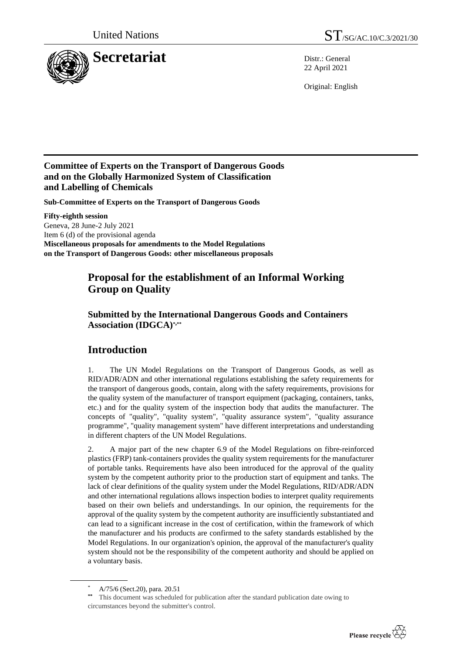

22 April 2021

Original: English

## **Committee of Experts on the Transport of Dangerous Goods and on the Globally Harmonized System of Classification and Labelling of Chemicals**

**Sub-Committee of Experts on the Transport of Dangerous Goods**

**Fifty-eighth session** Geneva, 28 June-2 July 2021 Item 6 (d) of the provisional agenda **Miscellaneous proposals for amendments to the Model Regulations on the Transport of Dangerous Goods: other miscellaneous proposals**

## **Proposal for the establishment of an Informal Working Group on Quality**

**Submitted by the International Dangerous Goods and Containers Association (IDGCA)\*,\*\***

## **Introduction**

1. The UN Model Regulations on the Transport of Dangerous Goods, as well as RID/ADR/ADN and other international regulations establishing the safety requirements for the transport of dangerous goods, contain, along with the safety requirements, provisions for the quality system of the manufacturer of transport equipment (packaging, containers, tanks, etc.) and for the quality system of the inspection body that audits the manufacturer. The concepts of "quality", "quality system", "quality assurance system", "quality assurance programme", "quality management system" have different interpretations and understanding in different chapters of the UN Model Regulations.

2. A major part of the new chapter 6.9 of the Model Regulations on fibre-reinforced plastics (FRP) tank-containers provides the quality system requirements for the manufacturer of portable tanks. Requirements have also been introduced for the approval of the quality system by the competent authority prior to the production start of equipment and tanks. The lack of clear definitions of the quality system under the Model Regulations, RID/ADR/ADN and other international regulations allows inspection bodies to interpret quality requirements based on their own beliefs and understandings. In our opinion, the requirements for the approval of the quality system by the competent authority are insufficiently substantiated and can lead to a significant increase in the cost of certification, within the framework of which the manufacturer and his products are confirmed to the safety standards established by the Model Regulations. In our organization's opinion, the approval of the manufacturer's quality system should not be the responsibility of the competent authority and should be applied on a voluntary basis.

This document was scheduled for publication after the standard publication date owing to circumstances beyond the submitter's control.



A/75/6 (Sect.20), para. 20.51